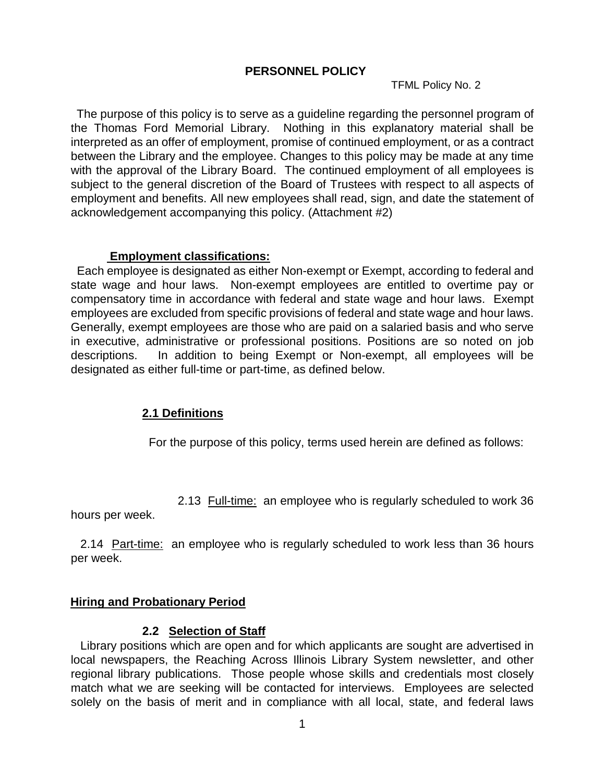#### **PERSONNEL POLICY**

TFML Policy No. 2

The purpose of this policy is to serve as a guideline regarding the personnel program of the Thomas Ford Memorial Library. Nothing in this explanatory material shall be interpreted as an offer of employment, promise of continued employment, or as a contract between the Library and the employee. Changes to this policy may be made at any time with the approval of the Library Board. The continued employment of all employees is subject to the general discretion of the Board of Trustees with respect to all aspects of employment and benefits. All new employees shall read, sign, and date the statement of acknowledgement accompanying this policy. (Attachment #2)

#### **Employment classifications:**

 Each employee is designated as either Non-exempt or Exempt, according to federal and state wage and hour laws. Non-exempt employees are entitled to overtime pay or compensatory time in accordance with federal and state wage and hour laws. Exempt employees are excluded from specific provisions of federal and state wage and hour laws. Generally, exempt employees are those who are paid on a salaried basis and who serve in executive, administrative or professional positions. Positions are so noted on job descriptions. In addition to being Exempt or Non-exempt, all employees will be designated as either full-time or part-time, as defined below.

#### **2.1 Definitions**

For the purpose of this policy, terms used herein are defined as follows:

2.13 Full-time: an employee who is regularly scheduled to work 36

hours per week.

 2.14 Part-time: an employee who is regularly scheduled to work less than 36 hours per week.

#### **Hiring and Probationary Period**

#### **2.2 Selection of Staff**

 Library positions which are open and for which applicants are sought are advertised in local newspapers, the Reaching Across Illinois Library System newsletter, and other regional library publications. Those people whose skills and credentials most closely match what we are seeking will be contacted for interviews. Employees are selected solely on the basis of merit and in compliance with all local, state, and federal laws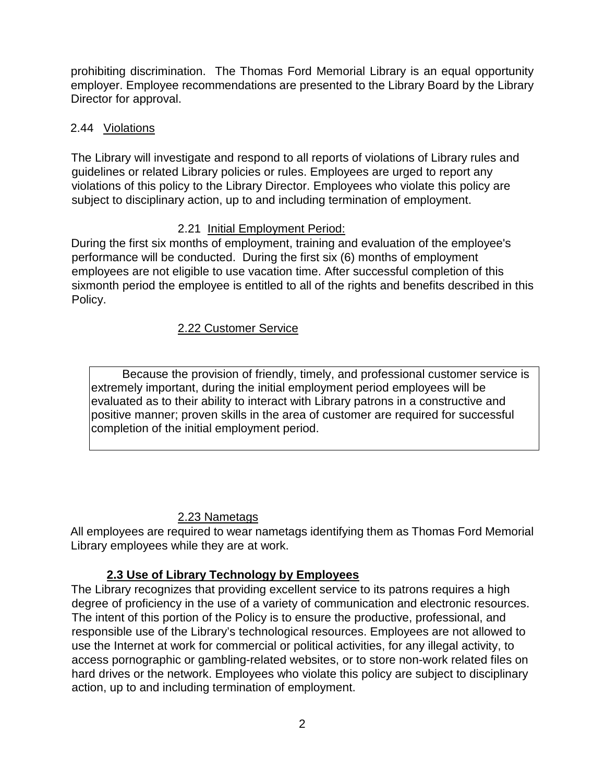prohibiting discrimination. The Thomas Ford Memorial Library is an equal opportunity employer. Employee recommendations are presented to the Library Board by the Library Director for approval.

# 2.44 Violations

The Library will investigate and respond to all reports of violations of Library rules and guidelines or related Library policies or rules. Employees are urged to report any violations of this policy to the Library Director. Employees who violate this policy are subject to disciplinary action, up to and including termination of employment.

# 2.21 Initial Employment Period:

During the first six months of employment, training and evaluation of the employee's performance will be conducted. During the first six (6) months of employment employees are not eligible to use vacation time. After successful completion of this sixmonth period the employee is entitled to all of the rights and benefits described in this Policy.

# 2.22 Customer Service

Because the provision of friendly, timely, and professional customer service is extremely important, during the initial employment period employees will be evaluated as to their ability to interact with Library patrons in a constructive and positive manner; proven skills in the area of customer are required for successful completion of the initial employment period.

# 2.23 Nametags

All employees are required to wear nametags identifying them as Thomas Ford Memorial Library employees while they are at work.

# **2.3 Use of Library Technology by Employees**

The Library recognizes that providing excellent service to its patrons requires a high degree of proficiency in the use of a variety of communication and electronic resources. The intent of this portion of the Policy is to ensure the productive, professional, and responsible use of the Library's technological resources. Employees are not allowed to use the Internet at work for commercial or political activities, for any illegal activity, to access pornographic or gambling-related websites, or to store non-work related files on hard drives or the network. Employees who violate this policy are subject to disciplinary action, up to and including termination of employment.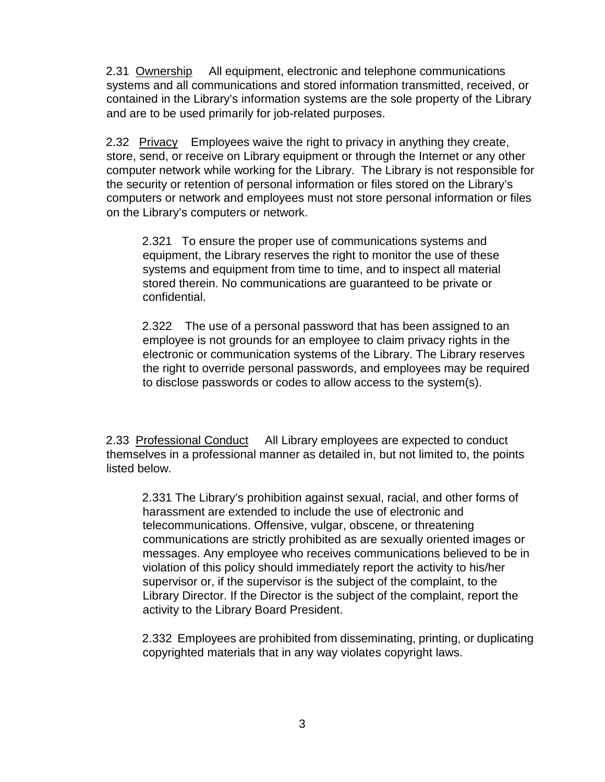2.31 Ownership All equipment, electronic and telephone communications systems and all communications and stored information transmitted, received, or contained in the Library's information systems are the sole property of the Library and are to be used primarily for job-related purposes.

2.32 Privacy Employees waive the right to privacy in anything they create, store, send, or receive on Library equipment or through the Internet or any other computer network while working for the Library. The Library is not responsible for the security or retention of personal information or files stored on the Library's computers or network and employees must not store personal information or files on the Library's computers or network.

2.321 To ensure the proper use of communications systems and equipment, the Library reserves the right to monitor the use of these systems and equipment from time to time, and to inspect all material stored therein. No communications are guaranteed to be private or confidential.

2.322 The use of a personal password that has been assigned to an employee is not grounds for an employee to claim privacy rights in the electronic or communication systems of the Library. The Library reserves the right to override personal passwords, and employees may be required to disclose passwords or codes to allow access to the system(s).

2.33 Professional Conduct All Library employees are expected to conduct themselves in a professional manner as detailed in, but not limited to, the points listed below.

2.331 The Library's prohibition against sexual, racial, and other forms of harassment are extended to include the use of electronic and telecommunications. Offensive, vulgar, obscene, or threatening communications are strictly prohibited as are sexually oriented images or messages. Any employee who receives communications believed to be in violation of this policy should immediately report the activity to his/her supervisor or, if the supervisor is the subject of the complaint, to the Library Director. If the Director is the subject of the complaint, report the activity to the Library Board President.

2.332 Employees are prohibited from disseminating, printing, or duplicating copyrighted materials that in any way violates copyright laws.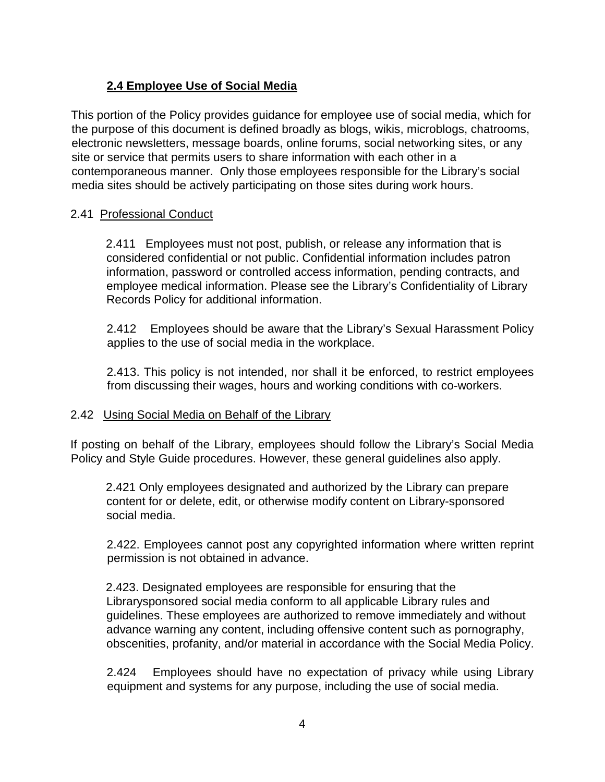# **2.4 Employee Use of Social Media**

This portion of the Policy provides guidance for employee use of social media, which for the purpose of this document is defined broadly as blogs, wikis, microblogs, chatrooms, electronic newsletters, message boards, online forums, social networking sites, or any site or service that permits users to share information with each other in a contemporaneous manner. Only those employees responsible for the Library's social media sites should be actively participating on those sites during work hours.

### 2.41 Professional Conduct

2.411 Employees must not post, publish, or release any information that is considered confidential or not public. Confidential information includes patron information, password or controlled access information, pending contracts, and employee medical information. Please see the Library's Confidentiality of Library Records Policy for additional information.

2.412 Employees should be aware that the Library's Sexual Harassment Policy applies to the use of social media in the workplace.

2.413. This policy is not intended, nor shall it be enforced, to restrict employees from discussing their wages, hours and working conditions with co-workers.

#### 2.42 Using Social Media on Behalf of the Library

If posting on behalf of the Library, employees should follow the Library's Social Media Policy and Style Guide procedures. However, these general guidelines also apply.

2.421 Only employees designated and authorized by the Library can prepare content for or delete, edit, or otherwise modify content on Library-sponsored social media.

2.422. Employees cannot post any copyrighted information where written reprint permission is not obtained in advance.

2.423. Designated employees are responsible for ensuring that the Librarysponsored social media conform to all applicable Library rules and guidelines. These employees are authorized to remove immediately and without advance warning any content, including offensive content such as pornography, obscenities, profanity, and/or material in accordance with the Social Media Policy.

2.424 Employees should have no expectation of privacy while using Library equipment and systems for any purpose, including the use of social media.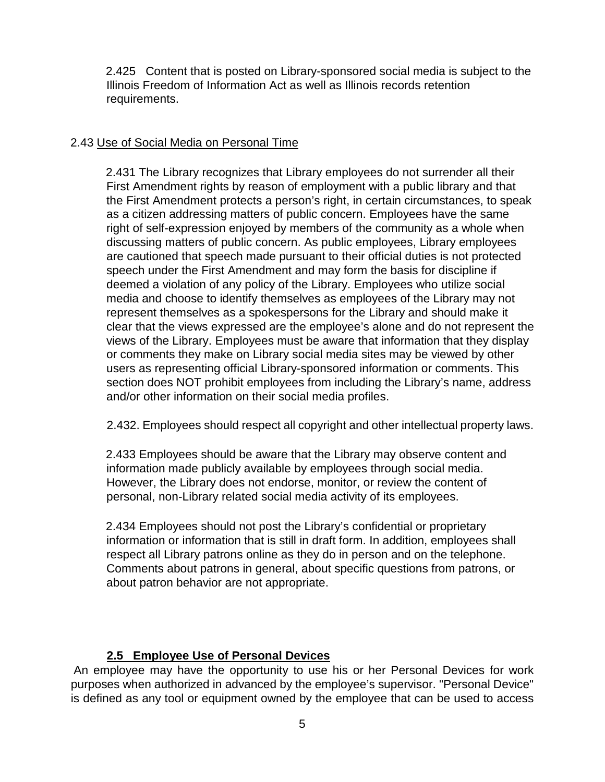2.425 Content that is posted on Library-sponsored social media is subject to the Illinois Freedom of Information Act as well as Illinois records retention requirements.

### 2.43 Use of Social Media on Personal Time

2.431 The Library recognizes that Library employees do not surrender all their First Amendment rights by reason of employment with a public library and that the First Amendment protects a person's right, in certain circumstances, to speak as a citizen addressing matters of public concern. Employees have the same right of self-expression enjoyed by members of the community as a whole when discussing matters of public concern. As public employees, Library employees are cautioned that speech made pursuant to their official duties is not protected speech under the First Amendment and may form the basis for discipline if deemed a violation of any policy of the Library. Employees who utilize social media and choose to identify themselves as employees of the Library may not represent themselves as a spokespersons for the Library and should make it clear that the views expressed are the employee's alone and do not represent the views of the Library. Employees must be aware that information that they display or comments they make on Library social media sites may be viewed by other users as representing official Library-sponsored information or comments. This section does NOT prohibit employees from including the Library's name, address and/or other information on their social media profiles.

2.432. Employees should respect all copyright and other intellectual property laws.

2.433 Employees should be aware that the Library may observe content and information made publicly available by employees through social media. However, the Library does not endorse, monitor, or review the content of personal, non-Library related social media activity of its employees.

2.434 Employees should not post the Library's confidential or proprietary information or information that is still in draft form. In addition, employees shall respect all Library patrons online as they do in person and on the telephone. Comments about patrons in general, about specific questions from patrons, or about patron behavior are not appropriate.

# **2.5 Employee Use of Personal Devices**

An employee may have the opportunity to use his or her Personal Devices for work purposes when authorized in advanced by the employee's supervisor. "Personal Device" is defined as any tool or equipment owned by the employee that can be used to access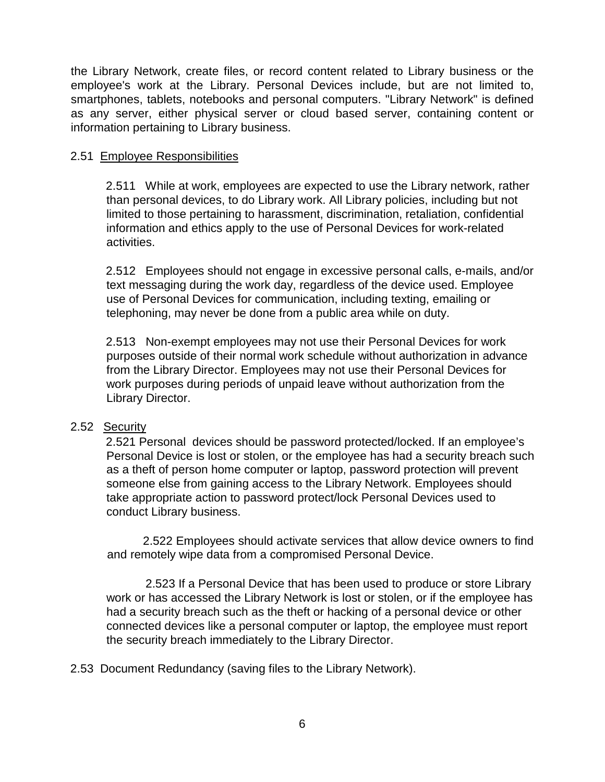the Library Network, create files, or record content related to Library business or the employee's work at the Library. Personal Devices include, but are not limited to, smartphones, tablets, notebooks and personal computers. "Library Network" is defined as any server, either physical server or cloud based server, containing content or information pertaining to Library business.

#### 2.51 Employee Responsibilities

2.511 While at work, employees are expected to use the Library network, rather than personal devices, to do Library work. All Library policies, including but not limited to those pertaining to harassment, discrimination, retaliation, confidential information and ethics apply to the use of Personal Devices for work-related activities.

2.512 Employees should not engage in excessive personal calls, e-mails, and/or text messaging during the work day, regardless of the device used. Employee use of Personal Devices for communication, including texting, emailing or telephoning, may never be done from a public area while on duty.

2.513 Non-exempt employees may not use their Personal Devices for work purposes outside of their normal work schedule without authorization in advance from the Library Director. Employees may not use their Personal Devices for work purposes during periods of unpaid leave without authorization from the Library Director.

#### 2.52 Security

2.521 Personal devices should be password protected/locked. If an employee's Personal Device is lost or stolen, or the employee has had a security breach such as a theft of person home computer or laptop, password protection will prevent someone else from gaining access to the Library Network. Employees should take appropriate action to password protect/lock Personal Devices used to conduct Library business.

 2.522 Employees should activate services that allow device owners to find and remotely wipe data from a compromised Personal Device.

 2.523 If a Personal Device that has been used to produce or store Library work or has accessed the Library Network is lost or stolen, or if the employee has had a security breach such as the theft or hacking of a personal device or other connected devices like a personal computer or laptop, the employee must report the security breach immediately to the Library Director.

2.53 Document Redundancy (saving files to the Library Network).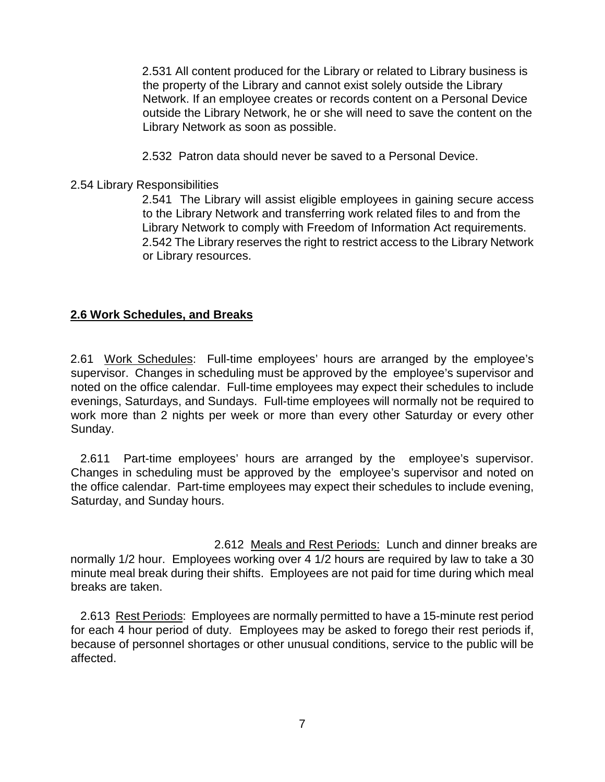2.531 All content produced for the Library or related to Library business is the property of the Library and cannot exist solely outside the Library Network. If an employee creates or records content on a Personal Device outside the Library Network, he or she will need to save the content on the Library Network as soon as possible.

2.532 Patron data should never be saved to a Personal Device.

#### 2.54 Library Responsibilities

2.541 The Library will assist eligible employees in gaining secure access to the Library Network and transferring work related files to and from the Library Network to comply with Freedom of Information Act requirements. 2.542 The Library reserves the right to restrict access to the Library Network or Library resources.

### **2.6 Work Schedules, and Breaks**

2.61 Work Schedules: Full-time employees' hours are arranged by the employee's supervisor. Changes in scheduling must be approved by the employee's supervisor and noted on the office calendar. Full-time employees may expect their schedules to include evenings, Saturdays, and Sundays. Full-time employees will normally not be required to work more than 2 nights per week or more than every other Saturday or every other Sunday.

 2.611 Part-time employees' hours are arranged by the employee's supervisor. Changes in scheduling must be approved by the employee's supervisor and noted on the office calendar. Part-time employees may expect their schedules to include evening, Saturday, and Sunday hours.

2.612 Meals and Rest Periods: Lunch and dinner breaks are normally 1/2 hour. Employees working over 4 1/2 hours are required by law to take a 30 minute meal break during their shifts. Employees are not paid for time during which meal breaks are taken.

 2.613 Rest Periods: Employees are normally permitted to have a 15-minute rest period for each 4 hour period of duty. Employees may be asked to forego their rest periods if, because of personnel shortages or other unusual conditions, service to the public will be affected.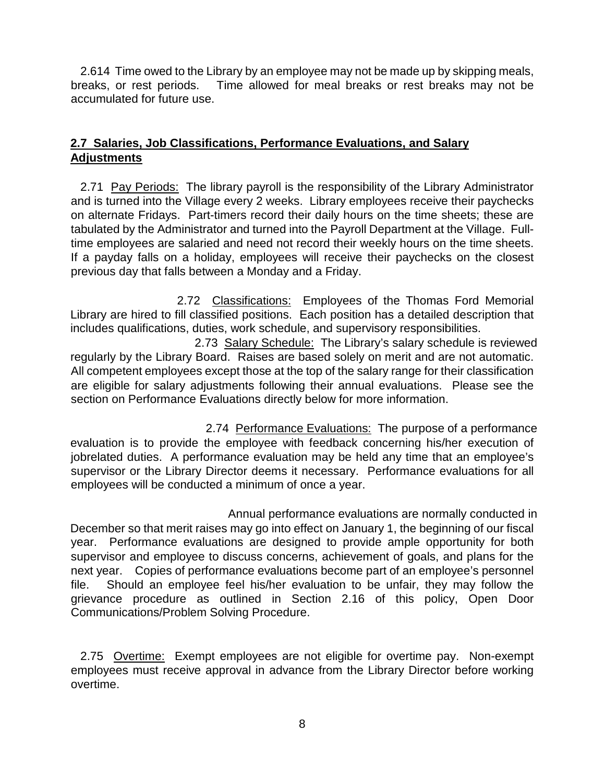2.614 Time owed to the Library by an employee may not be made up by skipping meals, breaks, or rest periods. Time allowed for meal breaks or rest breaks may not be accumulated for future use.

### **2.7 Salaries, Job Classifications, Performance Evaluations, and Salary Adjustments**

 2.71 Pay Periods: The library payroll is the responsibility of the Library Administrator and is turned into the Village every 2 weeks. Library employees receive their paychecks on alternate Fridays. Part-timers record their daily hours on the time sheets; these are tabulated by the Administrator and turned into the Payroll Department at the Village. Fulltime employees are salaried and need not record their weekly hours on the time sheets. If a payday falls on a holiday, employees will receive their paychecks on the closest previous day that falls between a Monday and a Friday.

2.72 Classifications: Employees of the Thomas Ford Memorial Library are hired to fill classified positions. Each position has a detailed description that includes qualifications, duties, work schedule, and supervisory responsibilities.

2.73 Salary Schedule: The Library's salary schedule is reviewed regularly by the Library Board. Raises are based solely on merit and are not automatic. All competent employees except those at the top of the salary range for their classification are eligible for salary adjustments following their annual evaluations. Please see the section on Performance Evaluations directly below for more information.

2.74 Performance Evaluations: The purpose of a performance evaluation is to provide the employee with feedback concerning his/her execution of jobrelated duties. A performance evaluation may be held any time that an employee's supervisor or the Library Director deems it necessary. Performance evaluations for all employees will be conducted a minimum of once a year.

Annual performance evaluations are normally conducted in December so that merit raises may go into effect on January 1, the beginning of our fiscal year. Performance evaluations are designed to provide ample opportunity for both supervisor and employee to discuss concerns, achievement of goals, and plans for the next year. Copies of performance evaluations become part of an employee's personnel file. Should an employee feel his/her evaluation to be unfair, they may follow the grievance procedure as outlined in Section 2.16 of this policy, Open Door Communications/Problem Solving Procedure.

2.75 Overtime: Exempt employees are not eligible for overtime pay. Non-exempt employees must receive approval in advance from the Library Director before working overtime.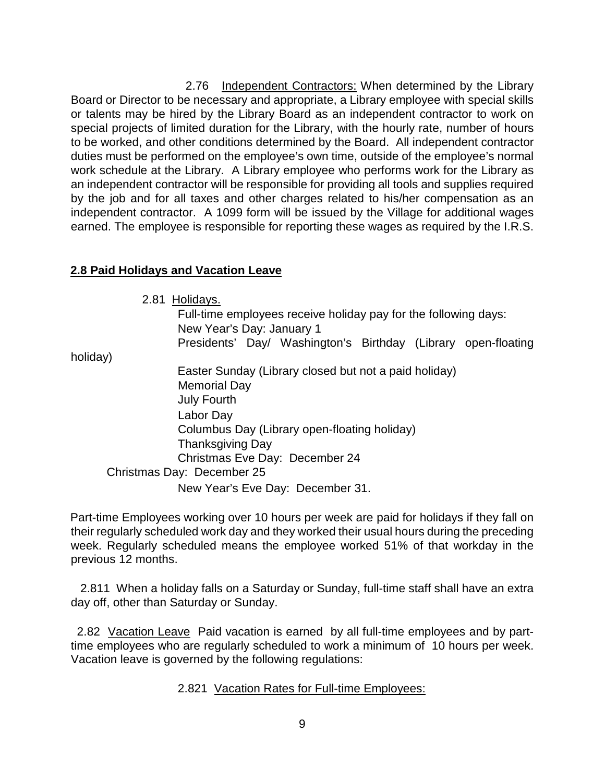2.76 Independent Contractors: When determined by the Library Board or Director to be necessary and appropriate, a Library employee with special skills or talents may be hired by the Library Board as an independent contractor to work on special projects of limited duration for the Library, with the hourly rate, number of hours to be worked, and other conditions determined by the Board. All independent contractor duties must be performed on the employee's own time, outside of the employee's normal work schedule at the Library. A Library employee who performs work for the Library as an independent contractor will be responsible for providing all tools and supplies required by the job and for all taxes and other charges related to his/her compensation as an independent contractor. A 1099 form will be issued by the Village for additional wages earned. The employee is responsible for reporting these wages as required by the I.R.S.

### **2.8 Paid Holidays and Vacation Leave**

2.81 Holidays.

Full-time employees receive holiday pay for the following days: New Year's Day: January 1

Presidents' Day/ Washington's Birthday (Library open-floating

holiday)

Easter Sunday (Library closed but not a paid holiday) Memorial Day July Fourth Labor Day Columbus Day (Library open-floating holiday) Thanksgiving Day Christmas Eve Day: December 24 Christmas Day: December 25 New Year's Eve Day: December 31.

Part-time Employees working over 10 hours per week are paid for holidays if they fall on their regularly scheduled work day and they worked their usual hours during the preceding week. Regularly scheduled means the employee worked 51% of that workday in the previous 12 months.

 2.811 When a holiday falls on a Saturday or Sunday, full-time staff shall have an extra day off, other than Saturday or Sunday.

 2.82 Vacation Leave Paid vacation is earned by all full-time employees and by parttime employees who are regularly scheduled to work a minimum of 10 hours per week. Vacation leave is governed by the following regulations:

2.821 Vacation Rates for Full-time Employees: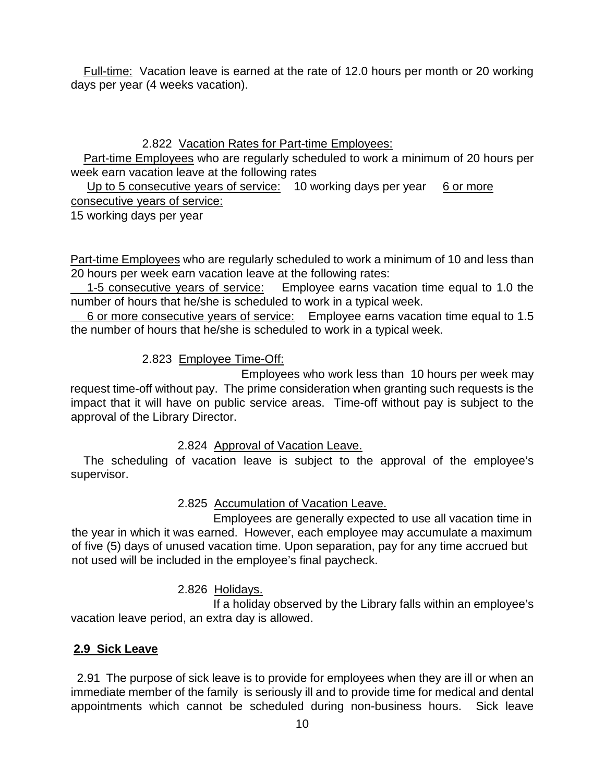Full-time: Vacation leave is earned at the rate of 12.0 hours per month or 20 working days per year (4 weeks vacation).

# 2.822 Vacation Rates for Part-time Employees:

 Part-time Employees who are regularly scheduled to work a minimum of 20 hours per week earn vacation leave at the following rates

Up to 5 consecutive years of service: 10 working days per year 6 or more consecutive years of service:

15 working days per year

Part-time Employees who are regularly scheduled to work a minimum of 10 and less than 20 hours per week earn vacation leave at the following rates:

 1-5 consecutive years of service: Employee earns vacation time equal to 1.0 the number of hours that he/she is scheduled to work in a typical week.

 6 or more consecutive years of service: Employee earns vacation time equal to 1.5 the number of hours that he/she is scheduled to work in a typical week.

# 2.823 Employee Time-Off:

Employees who work less than 10 hours per week may request time-off without pay. The prime consideration when granting such requests is the impact that it will have on public service areas. Time-off without pay is subject to the approval of the Library Director.

# 2.824 Approval of Vacation Leave.

 The scheduling of vacation leave is subject to the approval of the employee's supervisor.

# 2.825 Accumulation of Vacation Leave.

Employees are generally expected to use all vacation time in the year in which it was earned. However, each employee may accumulate a maximum of five (5) days of unused vacation time. Upon separation, pay for any time accrued but not used will be included in the employee's final paycheck.

# 2.826 Holidays.

If a holiday observed by the Library falls within an employee's vacation leave period, an extra day is allowed.

# **2.9 Sick Leave**

 2.91 The purpose of sick leave is to provide for employees when they are ill or when an immediate member of the family is seriously ill and to provide time for medical and dental appointments which cannot be scheduled during non-business hours. Sick leave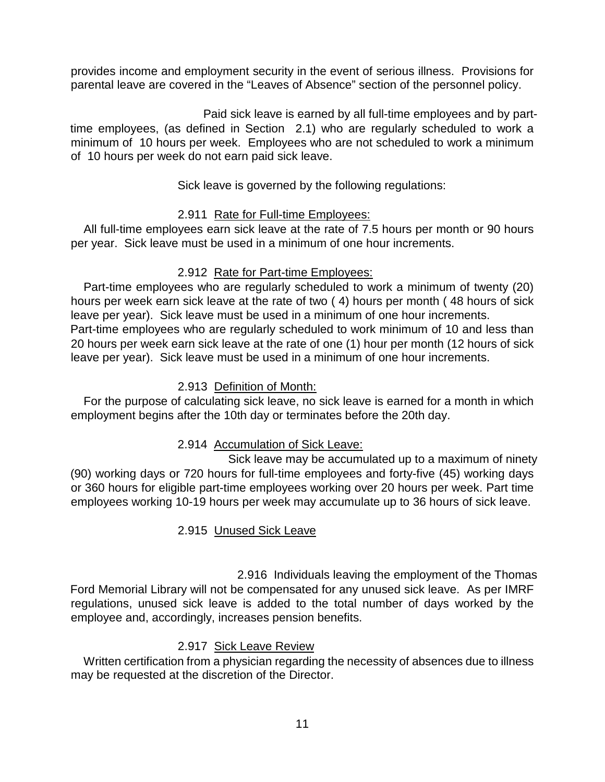provides income and employment security in the event of serious illness. Provisions for parental leave are covered in the "Leaves of Absence" section of the personnel policy.

Paid sick leave is earned by all full-time employees and by parttime employees, (as defined in Section 2.1) who are regularly scheduled to work a minimum of 10 hours per week. Employees who are not scheduled to work a minimum of 10 hours per week do not earn paid sick leave.

Sick leave is governed by the following regulations:

# 2.911 Rate for Full-time Employees:

 All full-time employees earn sick leave at the rate of 7.5 hours per month or 90 hours per year. Sick leave must be used in a minimum of one hour increments.

# 2.912 Rate for Part-time Employees:

 Part-time employees who are regularly scheduled to work a minimum of twenty (20) hours per week earn sick leave at the rate of two ( 4) hours per month ( 48 hours of sick leave per year). Sick leave must be used in a minimum of one hour increments. Part-time employees who are regularly scheduled to work minimum of 10 and less than 20 hours per week earn sick leave at the rate of one (1) hour per month (12 hours of sick leave per year). Sick leave must be used in a minimum of one hour increments.

# 2.913 Definition of Month:

 For the purpose of calculating sick leave, no sick leave is earned for a month in which employment begins after the 10th day or terminates before the 20th day.

# 2.914 Accumulation of Sick Leave:

Sick leave may be accumulated up to a maximum of ninety (90) working days or 720 hours for full-time employees and forty-five (45) working days or 360 hours for eligible part-time employees working over 20 hours per week. Part time employees working 10-19 hours per week may accumulate up to 36 hours of sick leave.

# 2.915 Unused Sick Leave

2.916 Individuals leaving the employment of the Thomas Ford Memorial Library will not be compensated for any unused sick leave. As per IMRF regulations, unused sick leave is added to the total number of days worked by the employee and, accordingly, increases pension benefits.

# 2.917 Sick Leave Review

 Written certification from a physician regarding the necessity of absences due to illness may be requested at the discretion of the Director.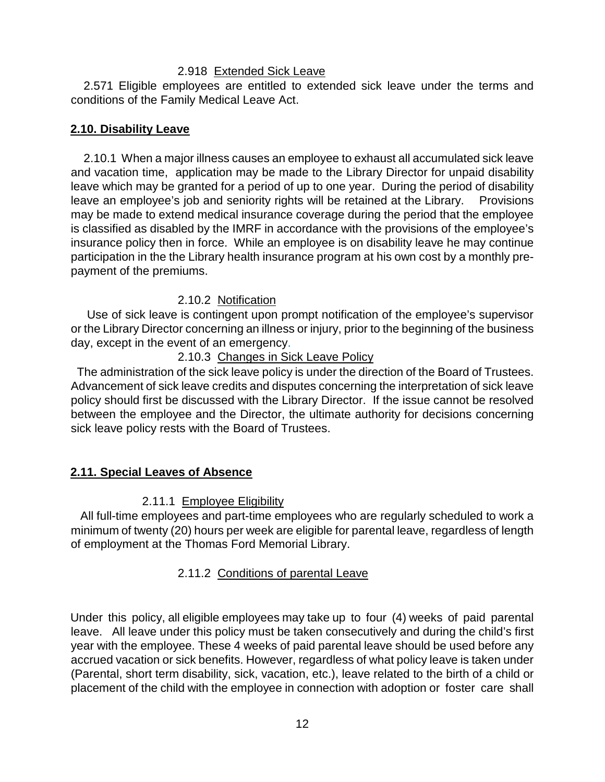#### 2.918 Extended Sick Leave

 2.571 Eligible employees are entitled to extended sick leave under the terms and conditions of the Family Medical Leave Act.

#### **2.10. Disability Leave**

 2.10.1 When a major illness causes an employee to exhaust all accumulated sick leave and vacation time, application may be made to the Library Director for unpaid disability leave which may be granted for a period of up to one year. During the period of disability leave an employee's job and seniority rights will be retained at the Library. Provisions may be made to extend medical insurance coverage during the period that the employee is classified as disabled by the IMRF in accordance with the provisions of the employee's insurance policy then in force. While an employee is on disability leave he may continue participation in the the Library health insurance program at his own cost by a monthly prepayment of the premiums.

### 2.10.2 Notification

 Use of sick leave is contingent upon prompt notification of the employee's supervisor or the Library Director concerning an illness or injury, prior to the beginning of the business day, except in the event of an emergency.

### 2.10.3 Changes in Sick Leave Policy

 The administration of the sick leave policy is under the direction of the Board of Trustees. Advancement of sick leave credits and disputes concerning the interpretation of sick leave policy should first be discussed with the Library Director. If the issue cannot be resolved between the employee and the Director, the ultimate authority for decisions concerning sick leave policy rests with the Board of Trustees.

#### **2.11. Special Leaves of Absence**

#### 2.11.1 Employee Eligibility

 All full-time employees and part-time employees who are regularly scheduled to work a minimum of twenty (20) hours per week are eligible for parental leave, regardless of length of employment at the Thomas Ford Memorial Library.

# 2.11.2 Conditions of parental Leave

Under this policy, all eligible employees may take up to four (4) weeks of paid parental leave. All leave under this policy must be taken consecutively and during the child's first year with the employee. These 4 weeks of paid parental leave should be used before any accrued vacation or sick benefits. However, regardless of what policy leave is taken under (Parental, short term disability, sick, vacation, etc.), leave related to the birth of a child or placement of the child with the employee in connection with adoption or foster care shall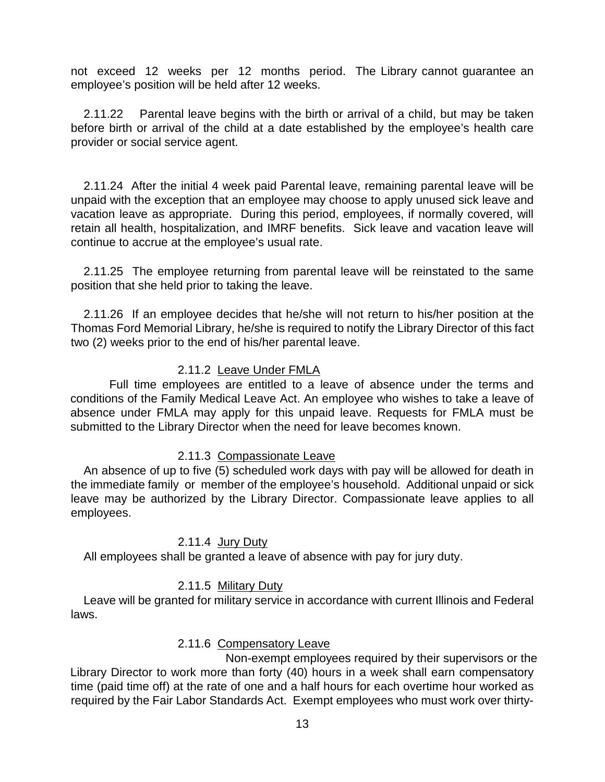not exceed 12 weeks per 12 months period. The Library cannot guarantee an employee's position will be held after 12 weeks.

 2.11.22 Parental leave begins with the birth or arrival of a child, but may be taken before birth or arrival of the child at a date established by the employee's health care provider or social service agent.

 2.11.24 After the initial 4 week paid Parental leave, remaining parental leave will be unpaid with the exception that an employee may choose to apply unused sick leave and vacation leave as appropriate. During this period, employees, if normally covered, will retain all health, hospitalization, and IMRF benefits. Sick leave and vacation leave will continue to accrue at the employee's usual rate.

 2.11.25 The employee returning from parental leave will be reinstated to the same position that she held prior to taking the leave.

 2.11.26 If an employee decides that he/she will not return to his/her position at the Thomas Ford Memorial Library, he/she is required to notify the Library Director of this fact two (2) weeks prior to the end of his/her parental leave.

#### 2.11.2 Leave Under FMLA

Full time employees are entitled to a leave of absence under the terms and conditions of the Family Medical Leave Act. An employee who wishes to take a leave of absence under FMLA may apply for this unpaid leave. Requests for FMLA must be submitted to the Library Director when the need for leave becomes known.

#### 2.11.3 Compassionate Leave

 An absence of up to five (5) scheduled work days with pay will be allowed for death in the immediate family or member of the employee's household. Additional unpaid or sick leave may be authorized by the Library Director. Compassionate leave applies to all employees.

#### 2.11.4 Jury Duty

All employees shall be granted a leave of absence with pay for jury duty.

# 2.11.5 Military Duty

 Leave will be granted for military service in accordance with current Illinois and Federal laws.

#### 2.11.6 Compensatory Leave

Non-exempt employees required by their supervisors or the Library Director to work more than forty (40) hours in a week shall earn compensatory time (paid time off) at the rate of one and a half hours for each overtime hour worked as required by the Fair Labor Standards Act. Exempt employees who must work over thirty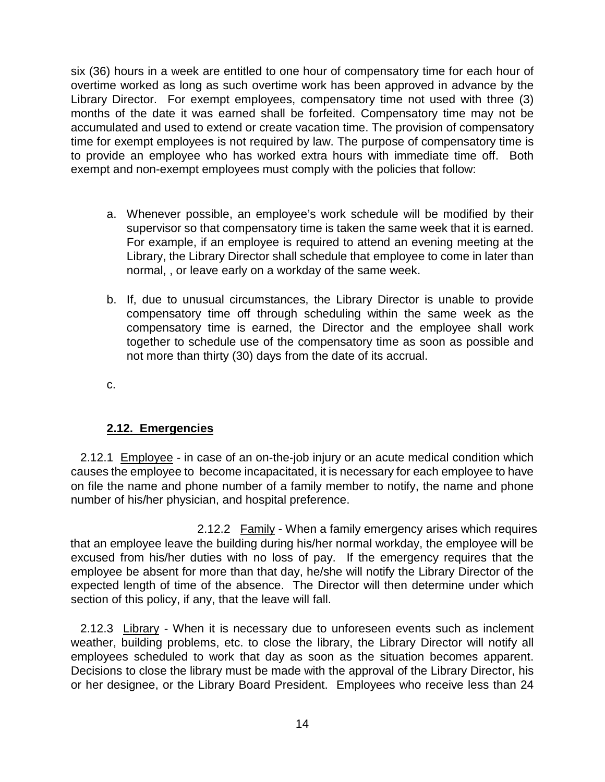six (36) hours in a week are entitled to one hour of compensatory time for each hour of overtime worked as long as such overtime work has been approved in advance by the Library Director. For exempt employees, compensatory time not used with three (3) months of the date it was earned shall be forfeited. Compensatory time may not be accumulated and used to extend or create vacation time. The provision of compensatory time for exempt employees is not required by law. The purpose of compensatory time is to provide an employee who has worked extra hours with immediate time off. Both exempt and non-exempt employees must comply with the policies that follow:

- a. Whenever possible, an employee's work schedule will be modified by their supervisor so that compensatory time is taken the same week that it is earned. For example, if an employee is required to attend an evening meeting at the Library, the Library Director shall schedule that employee to come in later than normal, , or leave early on a workday of the same week.
- b. If, due to unusual circumstances, the Library Director is unable to provide compensatory time off through scheduling within the same week as the compensatory time is earned, the Director and the employee shall work together to schedule use of the compensatory time as soon as possible and not more than thirty (30) days from the date of its accrual.

c.

# **2.12. Emergencies**

 2.12.1 Employee - in case of an on-the-job injury or an acute medical condition which causes the employee to become incapacitated, it is necessary for each employee to have on file the name and phone number of a family member to notify, the name and phone number of his/her physician, and hospital preference.

2.12.2 Family - When a family emergency arises which requires that an employee leave the building during his/her normal workday, the employee will be excused from his/her duties with no loss of pay. If the emergency requires that the employee be absent for more than that day, he/she will notify the Library Director of the expected length of time of the absence. The Director will then determine under which section of this policy, if any, that the leave will fall.

 2.12.3 Library - When it is necessary due to unforeseen events such as inclement weather, building problems, etc. to close the library, the Library Director will notify all employees scheduled to work that day as soon as the situation becomes apparent. Decisions to close the library must be made with the approval of the Library Director, his or her designee, or the Library Board President. Employees who receive less than 24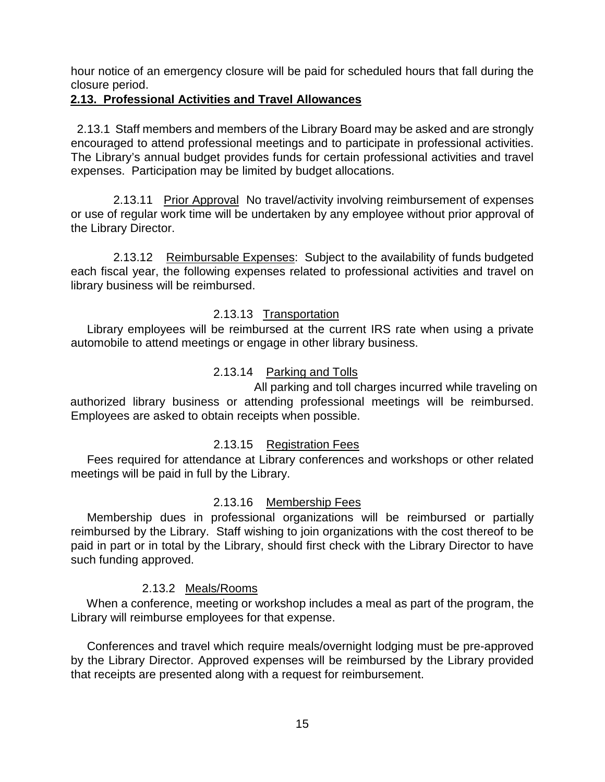hour notice of an emergency closure will be paid for scheduled hours that fall during the closure period.

#### **2.13. Professional Activities and Travel Allowances**

 2.13.1 Staff members and members of the Library Board may be asked and are strongly encouraged to attend professional meetings and to participate in professional activities. The Library's annual budget provides funds for certain professional activities and travel expenses. Participation may be limited by budget allocations.

2.13.11 Prior Approval No travel/activity involving reimbursement of expenses or use of regular work time will be undertaken by any employee without prior approval of the Library Director.

 2.13.12 Reimbursable Expenses: Subject to the availability of funds budgeted each fiscal year, the following expenses related to professional activities and travel on library business will be reimbursed.

### 2.13.13 Transportation

 Library employees will be reimbursed at the current IRS rate when using a private automobile to attend meetings or engage in other library business.

# 2.13.14 Parking and Tolls

All parking and toll charges incurred while traveling on authorized library business or attending professional meetings will be reimbursed. Employees are asked to obtain receipts when possible.

#### 2.13.15 Registration Fees

 Fees required for attendance at Library conferences and workshops or other related meetings will be paid in full by the Library.

#### 2.13.16 Membership Fees

 Membership dues in professional organizations will be reimbursed or partially reimbursed by the Library. Staff wishing to join organizations with the cost thereof to be paid in part or in total by the Library, should first check with the Library Director to have such funding approved.

# 2.13.2 Meals/Rooms

 When a conference, meeting or workshop includes a meal as part of the program, the Library will reimburse employees for that expense.

 Conferences and travel which require meals/overnight lodging must be pre-approved by the Library Director. Approved expenses will be reimbursed by the Library provided that receipts are presented along with a request for reimbursement.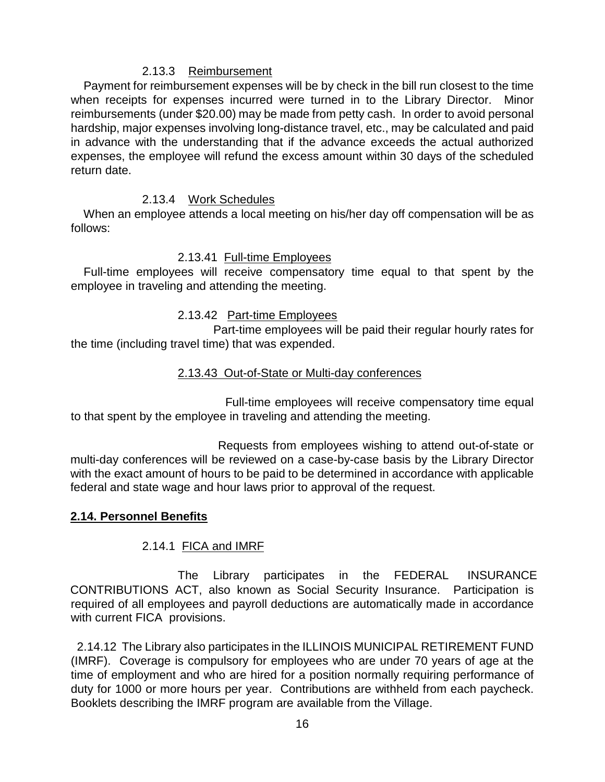#### 2.13.3 Reimbursement

 Payment for reimbursement expenses will be by check in the bill run closest to the time when receipts for expenses incurred were turned in to the Library Director. Minor reimbursements (under \$20.00) may be made from petty cash. In order to avoid personal hardship, major expenses involving long-distance travel, etc., may be calculated and paid in advance with the understanding that if the advance exceeds the actual authorized expenses, the employee will refund the excess amount within 30 days of the scheduled return date.

# 2.13.4 Work Schedules

 When an employee attends a local meeting on his/her day off compensation will be as follows:

# 2.13.41 Full-time Employees

 Full-time employees will receive compensatory time equal to that spent by the employee in traveling and attending the meeting.

# 2.13.42 Part-time Employees

Part-time employees will be paid their regular hourly rates for the time (including travel time) that was expended.

# 2.13.43 Out-of-State or Multi-day conferences

 Full-time employees will receive compensatory time equal to that spent by the employee in traveling and attending the meeting.

 Requests from employees wishing to attend out-of-state or multi-day conferences will be reviewed on a case-by-case basis by the Library Director with the exact amount of hours to be paid to be determined in accordance with applicable federal and state wage and hour laws prior to approval of the request.

# **2.14. Personnel Benefits**

# 2.14.1 FICA and IMRF

The Library participates in the FEDERAL INSURANCE CONTRIBUTIONS ACT, also known as Social Security Insurance. Participation is required of all employees and payroll deductions are automatically made in accordance with current FICA provisions.

 2.14.12 The Library also participates in the ILLINOIS MUNICIPAL RETIREMENT FUND (IMRF). Coverage is compulsory for employees who are under 70 years of age at the time of employment and who are hired for a position normally requiring performance of duty for 1000 or more hours per year. Contributions are withheld from each paycheck. Booklets describing the IMRF program are available from the Village.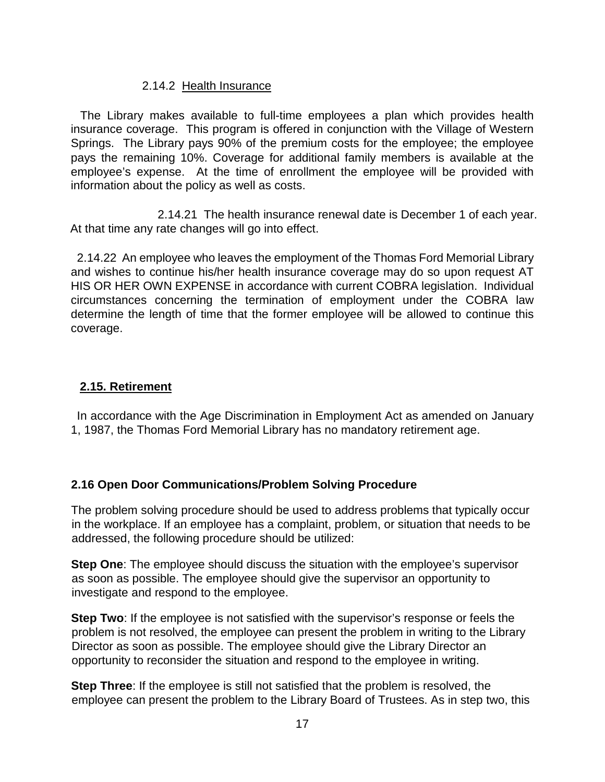### 2.14.2 Health Insurance

 The Library makes available to full-time employees a plan which provides health insurance coverage. This program is offered in conjunction with the Village of Western Springs. The Library pays 90% of the premium costs for the employee; the employee pays the remaining 10%. Coverage for additional family members is available at the employee's expense. At the time of enrollment the employee will be provided with information about the policy as well as costs.

2.14.21 The health insurance renewal date is December 1 of each year. At that time any rate changes will go into effect.

 2.14.22 An employee who leaves the employment of the Thomas Ford Memorial Library and wishes to continue his/her health insurance coverage may do so upon request AT HIS OR HER OWN EXPENSE in accordance with current COBRA legislation. Individual circumstances concerning the termination of employment under the COBRA law determine the length of time that the former employee will be allowed to continue this coverage.

### **2.15. Retirement**

 In accordance with the Age Discrimination in Employment Act as amended on January 1, 1987, the Thomas Ford Memorial Library has no mandatory retirement age.

#### **2.16 Open Door Communications/Problem Solving Procedure**

The problem solving procedure should be used to address problems that typically occur in the workplace. If an employee has a complaint, problem, or situation that needs to be addressed, the following procedure should be utilized:

**Step One**: The employee should discuss the situation with the employee's supervisor as soon as possible. The employee should give the supervisor an opportunity to investigate and respond to the employee.

**Step Two**: If the employee is not satisfied with the supervisor's response or feels the problem is not resolved, the employee can present the problem in writing to the Library Director as soon as possible. The employee should give the Library Director an opportunity to reconsider the situation and respond to the employee in writing.

**Step Three**: If the employee is still not satisfied that the problem is resolved, the employee can present the problem to the Library Board of Trustees. As in step two, this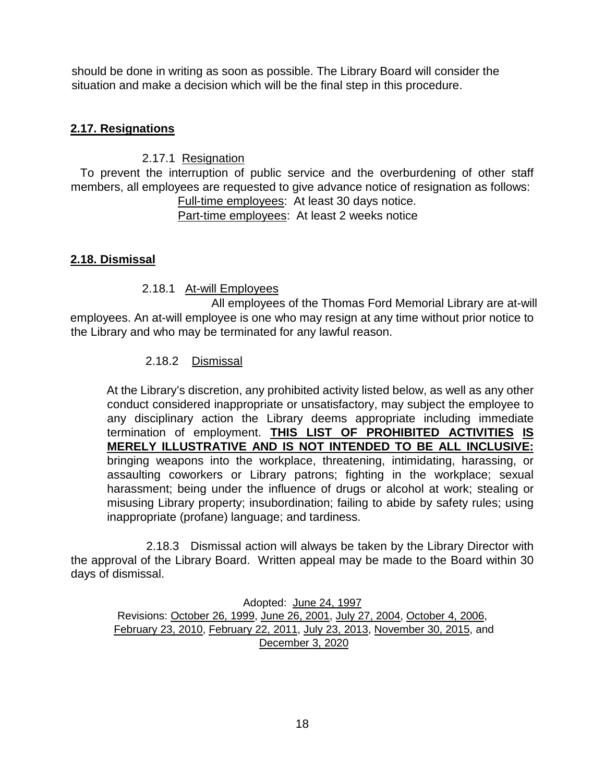should be done in writing as soon as possible. The Library Board will consider the situation and make a decision which will be the final step in this procedure.

### **2.17. Resignations**

### 2.17.1 Resignation

 To prevent the interruption of public service and the overburdening of other staff members, all employees are requested to give advance notice of resignation as follows:

Full-time employees: At least 30 days notice. Part-time employees: At least 2 weeks notice

### **2.18. Dismissal**

#### 2.18.1 At-will Employees

All employees of the Thomas Ford Memorial Library are at-will employees. An at-will employee is one who may resign at any time without prior notice to the Library and who may be terminated for any lawful reason.

### 2.18.2 Dismissal

At the Library's discretion, any prohibited activity listed below, as well as any other conduct considered inappropriate or unsatisfactory, may subject the employee to any disciplinary action the Library deems appropriate including immediate termination of employment. **THIS LIST OF PROHIBITED ACTIVITIES IS MERELY ILLUSTRATIVE AND IS NOT INTENDED TO BE ALL INCLUSIVE:** bringing weapons into the workplace, threatening, intimidating, harassing, or assaulting coworkers or Library patrons; fighting in the workplace; sexual harassment; being under the influence of drugs or alcohol at work; stealing or misusing Library property; insubordination; failing to abide by safety rules; using inappropriate (profane) language; and tardiness.

 2.18.3 Dismissal action will always be taken by the Library Director with the approval of the Library Board. Written appeal may be made to the Board within 30 days of dismissal.

Adopted: June 24, 1997 Revisions: October 26, 1999, June 26, 2001, July 27, 2004, October 4, 2006, February 23, 2010, February 22, 2011, July 23, 2013, November 30, 2015, and December 3, 2020